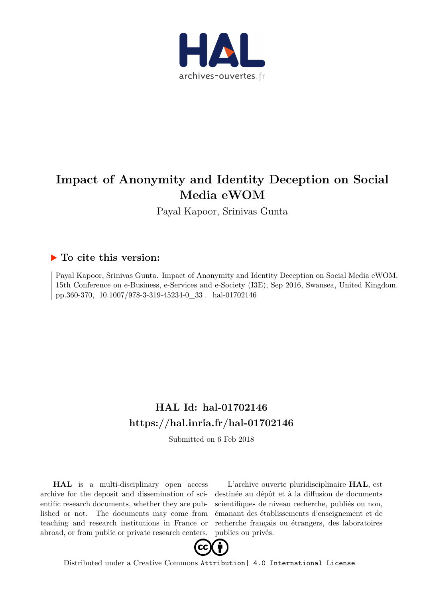

# **Impact of Anonymity and Identity Deception on Social Media eWOM**

Payal Kapoor, Srinivas Gunta

# **To cite this version:**

Payal Kapoor, Srinivas Gunta. Impact of Anonymity and Identity Deception on Social Media eWOM. 15th Conference on e-Business, e-Services and e-Society (I3E), Sep 2016, Swansea, United Kingdom. pp.360-370, 10.1007/978-3-319-45234-0\_33. hal-01702146

# **HAL Id: hal-01702146 <https://hal.inria.fr/hal-01702146>**

Submitted on 6 Feb 2018

**HAL** is a multi-disciplinary open access archive for the deposit and dissemination of scientific research documents, whether they are published or not. The documents may come from teaching and research institutions in France or abroad, or from public or private research centers.

L'archive ouverte pluridisciplinaire **HAL**, est destinée au dépôt et à la diffusion de documents scientifiques de niveau recherche, publiés ou non, émanant des établissements d'enseignement et de recherche français ou étrangers, des laboratoires publics ou privés.



Distributed under a Creative Commons [Attribution| 4.0 International License](http://creativecommons.org/licenses/by/4.0/)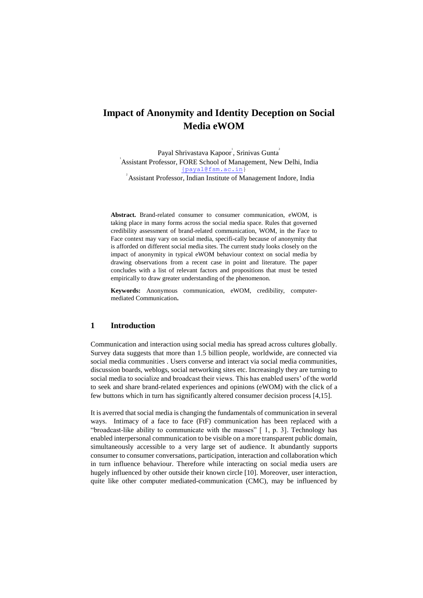# **Impact of Anonymity and Identity Deception on Social Media eWOM**

Payal Shrivastava Kapoor, Srinivas Gunta<sup>2</sup> 1 Assistant Professor, FORE School of Management, New Delhi, India [{payal@fsm.ac.in}](mailto:%7bpayal@fsm.ac.in) <sup>2</sup> Assistant Professor, Indian Institute of Management Indore, India

**Abstract.** Brand-related consumer to consumer communication, eWOM, is taking place in many forms across the social media space. Rules that governed credibility assessment of brand-related communication, WOM, in the Face to Face context may vary on social media, specifi-cally because of anonymity that is afforded on different social media sites. The current study looks closely on the impact of anonymity in typical eWOM behaviour context on social media by drawing observations from a recent case in point and literature. The paper concludes with a list of relevant factors and propositions that must be tested empirically to draw greater understanding of the phenomenon.

**Keywords:** Anonymous communication, eWOM, credibility, computermediated Communication**.** 

#### **1 Introduction**

Communication and interaction using social media has spread across cultures globally. Survey data suggests that more than 1.5 billion people, worldwide, are connected via social media communities . Users converse and interact via social media communities, discussion boards, weblogs, social networking sites etc. Increasingly they are turning to social media to socialize and broadcast their views. This has enabled users' of the world to seek and share brand-related experiences and opinions (eWOM) with the click of a few buttons which in turn has significantly altered consumer decision process [4,15].

It is averred that social media is changing the fundamentals of communication in several ways. Intimacy of a face to face (FtF) communication has been replaced with a "broadcast-like ability to communicate with the masses" [ 1, p. 3]. Technology has enabled interpersonal communication to be visible on a more transparent public domain, simultaneously accessible to a very large set of audience. It abundantly supports consumer to consumer conversations, participation, interaction and collaboration which in turn influence behaviour. Therefore while interacting on social media users are hugely influenced by other outside their known circle [10]. Moreover, user interaction, quite like other computer mediated-communication (CMC), may be influenced by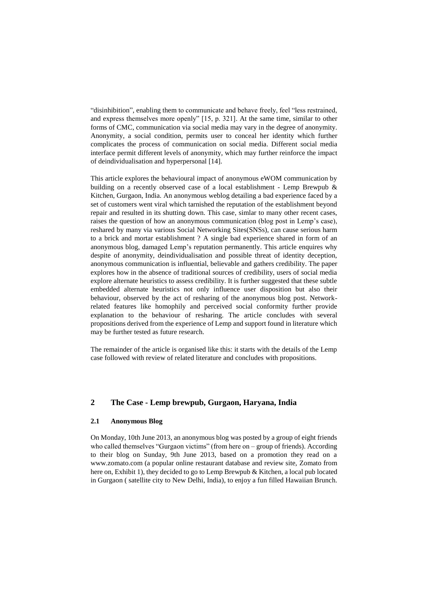"disinhibition", enabling them to communicate and behave freely, feel "less restrained, and express themselves more openly" [15, p. 321]. At the same time, similar to other forms of CMC, communication via social media may vary in the degree of anonymity. Anonymity, a social condition, permits user to conceal her identity which further complicates the process of communication on social media. Different social media interface permit different levels of anonymity, which may further reinforce the impact of deindividualisation and hyperpersonal [14].

This article explores the behavioural impact of anonymous eWOM communication by building on a recently observed case of a local establishment - Lemp Brewpub & Kitchen, Gurgaon, India. An anonymous weblog detailing a bad experience faced by a set of customers went viral which tarnished the reputation of the establishment beyond repair and resulted in its shutting down. This case, simlar to many other recent cases, raises the question of how an anonymous communication (blog post in Lemp's case), reshared by many via various Social Networking Sites(SNSs), can cause serious harm to a brick and mortar establishment ? A single bad experience shared in form of an anonymous blog, damaged Lemp's reputation permanently. This article enquires why despite of anonymity, deindividualisation and possible threat of identity deception, anonymous communication is influential, believable and gathers credibility. The paper explores how in the absence of traditional sources of credibility, users of social media explore alternate heuristics to assess credibility. It is further suggested that these subtle embedded alternate heuristics not only influence user disposition but also their behaviour, observed by the act of resharing of the anonymous blog post. Networkrelated features like homophily and perceived social conformity further provide explanation to the behaviour of resharing. The article concludes with several propositions derived from the experience of Lemp and support found in literature which may be further tested as future research.

The remainder of the article is organised like this: it starts with the details of the Lemp case followed with review of related literature and concludes with propositions.

# **2 The Case - Lemp brewpub, Gurgaon, Haryana, India**

#### **2.1 Anonymous Blog**

On Monday, 10th June 2013, an anonymous blog was posted by a group of eight friends who called themselves "Gurgaon victims" (from here on – group of friends). According to their blog on Sunday, 9th June 2013, based on a promotion they read on a www.zomato.com (a popular online restaurant database and review site, Zomato from here on, Exhibit 1), they decided to go to Lemp Brewpub & Kitchen, a local pub located in Gurgaon ( satellite city to New Delhi, India), to enjoy a fun filled Hawaiian Brunch.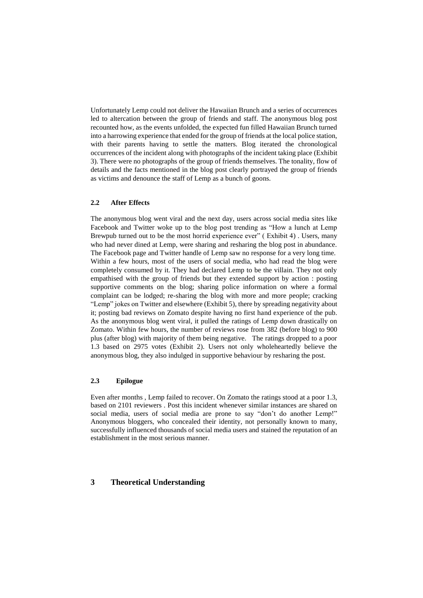Unfortunately Lemp could not deliver the Hawaiian Brunch and a series of occurrences led to altercation between the group of friends and staff. The anonymous blog post recounted how, as the events unfolded, the expected fun filled Hawaiian Brunch turned into a harrowing experience that ended for the group of friends at the local police station, with their parents having to settle the matters. Blog iterated the chronological occurrences of the incident along with photographs of the incident taking place (Exhibit 3). There were no photographs of the group of friends themselves. The tonality, flow of details and the facts mentioned in the blog post clearly portrayed the group of friends as victims and denounce the staff of Lemp as a bunch of goons.

#### **2.2 After Effects**

The anonymous blog went viral and the next day, users across social media sites like Facebook and Twitter woke up to the blog post trending as "How a lunch at Lemp Brewpub turned out to be the most horrid experience ever" ( Exhibit 4) . Users, many who had never dined at Lemp, were sharing and resharing the blog post in abundance. The Facebook page and Twitter handle of Lemp saw no response for a very long time. Within a few hours, most of the users of social media, who had read the blog were completely consumed by it. They had declared Lemp to be the villain. They not only empathised with the group of friends but they extended support by action : posting supportive comments on the blog; sharing police information on where a formal complaint can be lodged; re-sharing the blog with more and more people; cracking "Lemp" jokes on Twitter and elsewhere (Exhibit 5), there by spreading negativity about it; posting bad reviews on Zomato despite having no first hand experience of the pub. As the anonymous blog went viral, it pulled the ratings of Lemp down drastically on Zomato. Within few hours, the number of reviews rose from 382 (before blog) to 900 plus (after blog) with majority of them being negative. The ratings dropped to a poor 1.3 based on 2975 votes (Exhibit 2). Users not only wholeheartedly believe the anonymous blog, they also indulged in supportive behaviour by resharing the post.

#### **2.3 Epilogue**

Even after months , Lemp failed to recover. On Zomato the ratings stood at a poor 1.3, based on 2101 reviewers . Post this incident whenever similar instances are shared on social media, users of social media are prone to say "don't do another Lemp!" Anonymous bloggers, who concealed their identity, not personally known to many, successfully influenced thousands of social media users and stained the reputation of an establishment in the most serious manner.

#### **3 Theoretical Understanding**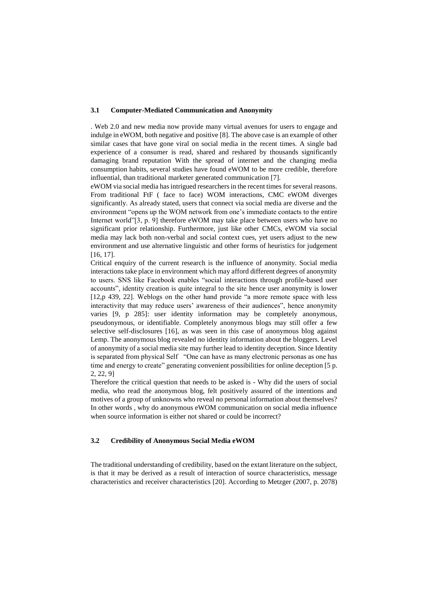#### **3.1 Computer-Mediated Communication and Anonymity**

. Web 2.0 and new media now provide many virtual avenues for users to engage and indulge in eWOM, both negative and positive [8]. The above case is an example of other similar cases that have gone viral on social media in the recent times. A single bad experience of a consumer is read, shared and reshared by thousands significantly damaging brand reputation With the spread of internet and the changing media consumption habits, several studies have found eWOM to be more credible, therefore influential, than traditional marketer generated communication [7].

eWOM via social media has intrigued researchers in the recent times for several reasons. From traditional FtF ( face to face) WOM interactions, CMC eWOM diverges significantly. As already stated, users that connect via social media are diverse and the environment "opens up the WOM network from one's immediate contacts to the entire Internet world"[3, p. 9] therefore eWOM may take place between users who have no significant prior relationship. Furthermore, just like other CMCs, eWOM via social media may lack both non-verbal and social context cues, yet users adjust to the new environment and use alternative linguistic and other forms of heuristics for judgement [16, 17].

Critical enquiry of the current research is the influence of anonymity. Social media interactions take place in environment which may afford different degrees of anonymity to users. SNS like Facebook enables "social interactions through profile-based user accounts", identity creation is quite integral to the site hence user anonymity is lower [12,p 439, 22]. Weblogs on the other hand provide "a more remote space with less interactivity that may reduce users' awareness of their audiences", hence anonymity varies [9, p 285]: user identity information may be completely anonymous, pseudonymous, or identifiable. Completely anonymous blogs may still offer a few selective self-disclosures [16], as was seen in this case of anonymous blog against Lemp. The anonymous blog revealed no identity information about the bloggers. Level of anonymity of a social media site may further lead to identity deception. Since Identity is separated from physical Self "One can have as many electronic personas as one has time and energy to create" generating convenient possibilities for online deception [5 p. 2, 22, 9]

Therefore the critical question that needs to be asked is - Why did the users of social media, who read the anonymous blog, felt positively assured of the intentions and motives of a group of unknowns who reveal no personal information about themselves? In other words , why do anonymous eWOM communication on social media influence when source information is either not shared or could be incorrect?

#### **3.2 Credibility of Anonymous Social Media eWOM**

The traditional understanding of credibility, based on the extant literature on the subject, is that it may be derived as a result of interaction of source characteristics, message characteristics and receiver characteristics [20]. According to Metzger (2007, p. 2078)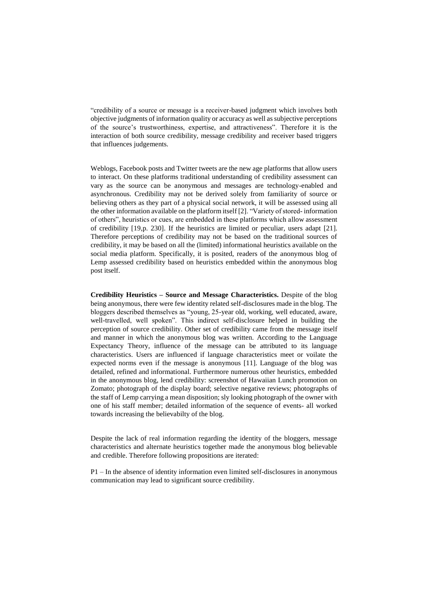"credibility of a source or message is a receiver-based judgment which involves both objective judgments of information quality or accuracy as well as subjective perceptions of the source's trustworthiness, expertise, and attractiveness". Therefore it is the interaction of both source credibility, message credibility and receiver based triggers that influences judgements.

Weblogs, Facebook posts and Twitter tweets are the new age platforms that allow users to interact. On these platforms traditional understanding of credibility assessment can vary as the source can be anonymous and messages are technology-enabled and asynchronous. Credibility may not be derived solely from familiarity of source or believing others as they part of a physical social network, it will be assessed using all the other information available on the platform itself [2]. "Variety of stored- information of others", heuristics or cues, are embedded in these platforms which allow assessment of credibility [19,p. 230]. If the heuristics are limited or peculiar, users adapt [21]. Therefore perceptions of credibility may not be based on the traditional sources of credibility, it may be based on all the (limited) informational heuristics available on the social media platform. Specifically, it is posited, readers of the anonymous blog of Lemp assessed credibility based on heuristics embedded within the anonymous blog post itself.

**Credibility Heuristics – Source and Message Characteristics.** Despite of the blog being anonymous, there were few identity related self-disclosures made in the blog. The bloggers described themselves as "young, 25-year old, working, well educated, aware, well-travelled, well spoken". This indirect self-disclosure helped in building the perception of source credibility. Other set of credibility came from the message itself and manner in which the anonymous blog was written. According to the Language Expectancy Theory, influence of the message can be attributed to its language characteristics. Users are influenced if language characteristics meet or voilate the expected norms even if the message is anonymous [11]. Language of the blog was detailed, refined and informational. Furthermore numerous other heuristics, embedded in the anonymous blog, lend credibility: screenshot of Hawaiian Lunch promotion on Zomato; photograph of the display board; selective negative reviews; photographs of the staff of Lemp carrying a mean disposition; sly looking photograph of the owner with one of his staff member; detailed information of the sequence of events- all worked towards increasing the believabilty of the blog.

Despite the lack of real information regarding the identity of the bloggers, message characteristics and alternate heuristics together made the anonymous blog believable and credible. Therefore following propositions are iterated:

P1 – In the absence of identity information even limited self-disclosures in anonymous communication may lead to significant source credibility.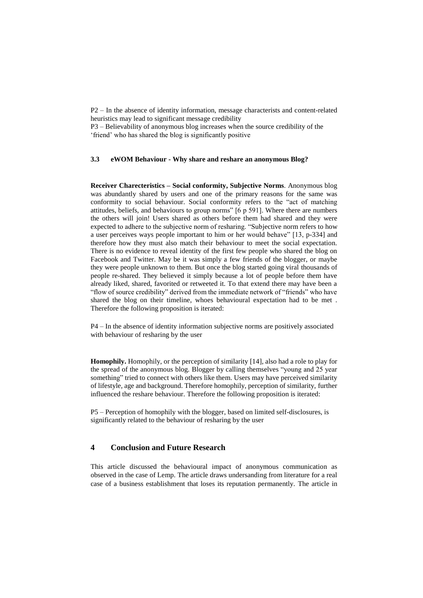P2 – In the absence of identity information, message characterists and content-related heuristics may lead to significant message credibility

P3 – Believability of anonymous blog increases when the source credibility of the 'friend' who has shared the blog is significantly positive

### **3.3 eWOM Behaviour - Why share and reshare an anonymous Blog?**

**Receiver Charecteristics – Social conformity, Subjective Norms**. Anonymous blog was abundantly shared by users and one of the primary reasons for the same was conformity to social behaviour. Social conformity refers to the "act of matching attitudes, beliefs, and behaviours to group norms" [6 p 591]. Where there are numbers the others will join! Users shared as others before them had shared and they were expected to adhere to the subjective norm of resharing. "Subjective norm refers to how a user perceives ways people important to him or her would behave" [13, p-334] and therefore how they must also match their behaviour to meet the social expectation. There is no evidence to reveal identity of the first few people who shared the blog on Facebook and Twitter. May be it was simply a few friends of the blogger, or maybe they were people unknown to them. But once the blog started going viral thousands of people re-shared. They believed it simply because a lot of people before them have already liked, shared, favorited or retweeted it. To that extend there may have been a "flow of source credibility" derived from the immediate network of "friends" who have shared the blog on their timeline, whoes behavioural expectation had to be met . Therefore the following proposition is iterated:

P4 – In the absence of identity information subjective norms are positively associated with behaviour of resharing by the user

**Homophily.** Homophily, or the perception of similarity [14], also had a role to play for the spread of the anonymous blog. Blogger by calling themselves "young and 25 year something" tried to connect with others like them. Users may have perceived similarity of lifestyle, age and background. Therefore homophily, perception of similarity, further influenced the reshare behaviour. Therefore the following proposition is iterated:

P5 – Perception of homophily with the blogger, based on limited self-disclosures, is significantly related to the behaviour of resharing by the user

# **4 Conclusion and Future Research**

This article discussed the behavioural impact of anonymous communication as observed in the case of Lemp. The article draws undersanding from literature for a real case of a business establishment that loses its reputation permanently. The article in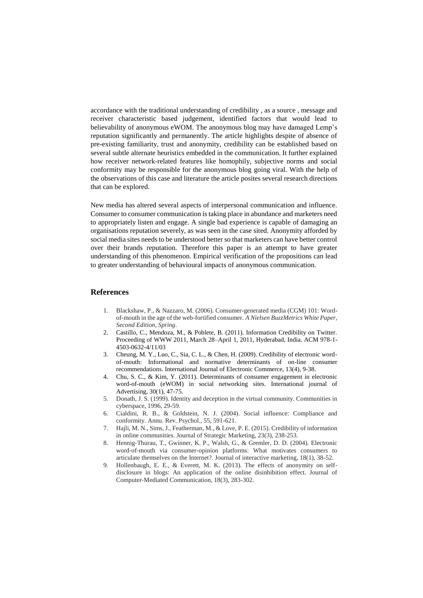accordance with the traditional understanding of credibility , as a source , message and receiver characteristic based judgement, identified factors that would lead to believability of anonymous eWOM. The anonymous blog may have damaged Lemp's reputation significantly and permanently. The article highlights despite of absence of pre-existing familiarity, trust and anonymity, credibility can be established based on several subtle alternate heuristics embedded in the communication. It further explained how receiver network-related features like homophily, subjective norms and social conformity may be responsible for the anonymous blog going viral. With the help of the observations of this case and literature the article posites several research directions that can be explored.

New media has altered several aspects of interpersonal communication and influence. Consumer to consumer communication is taking place in abundance and marketers need to appropriately listen and engage. A single bad experience is capable of damaging an organisations reputation severely, as was seen in the case sited. Anonymity afforded by social media sites needs to be understood better so that marketers can have better control over their brands reputation. Therefore this paper is an attempt to have greater understanding of this phenomenon. Empirical verification of the propositions can lead to greater understanding of behavioural impacts of anonymous communication.

# **References**

- 1. Blackshaw, P., & Nazzaro, M. (2006). Consumer-generated media (CGM) 101: Wordof-mouth in the age of the web-fortified consumer. *A Nielsen BuzzMetrics White Paper, Second Edition, Spring*.
- 2. Castillo, C., Mendoza, M., & Poblete, B. (2011). Information Credibility on Twitter. Proceeding of WWW 2011, March 28–April 1, 2011, Hyderabad, India. ACM 978-1- 4503-0632-4/11/03
- 3. Cheung, M. Y., Luo, C., Sia, C. L., & Chen, H. (2009). Credibility of electronic wordof-mouth: Informational and normative determinants of on-line consumer recommendations. International Journal of Electronic Commerce, 13(4), 9-38.
- 4. Chu, S. C., & Kim, Y. (2011). Determinants of consumer engagement in electronic word-of-mouth (eWOM) in social networking sites. International journal of Advertising, 30(1), 47-75.
- 5. Donath, J. S. (1999). Identity and deception in the virtual community. Communities in cyberspace, 1996, 29-59.
- 6. Cialdini, R. B., & Goldstein, N. J. (2004). Social influence: Compliance and conformity. Annu. Rev. Psychol., 55, 591-621.
- 7. Hajli, M. N., Sims, J., Featherman, M., & Love, P. E. (2015). Credibility of information in online communities. Journal of Strategic Marketing, 23(3), 238-253.
- 8. Hennig‐Thurau, T., Gwinner, K. P., Walsh, G., & Gremler, D. D. (2004). Electronic word-of-mouth via consumer-opinion platforms: What motivates consumers to articulate themselves on the Internet?. Journal of interactive marketing, 18(1), 38-52.
- 9. Hollenbaugh, E. E., & Everett, M. K. (2013). The effects of anonymity on selfdisclosure in blogs: An application of the online disinhibition effect. Journal of Computer‐Mediated Communication, 18(3), 283-302.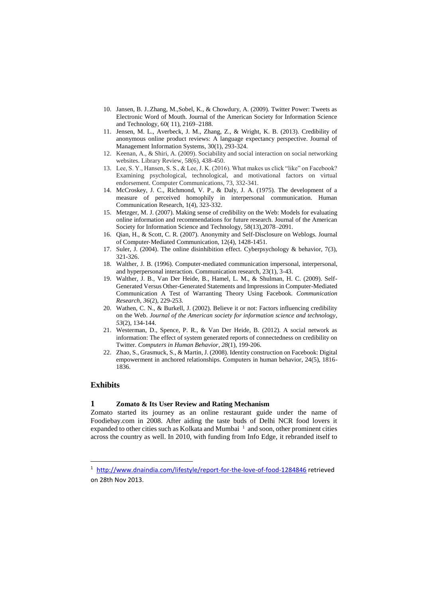- 10. Jansen, B. J..Zhang, M.,Sobel, K., & Chowdury, A. (2009). Twitter Power: Tweets as Electronic Word of Mouth. Journal of the American Society for Information Science and Technology, 60( 11), 2169–2188.
- 11. Jensen, M. L., Averbeck, J. M., Zhang, Z., & Wright, K. B. (2013). Credibility of anonymous online product reviews: A language expectancy perspective. Journal of Management Information Systems, 30(1), 293-324.
- 12. Keenan, A., & Shiri, A. (2009). Sociability and social interaction on social networking websites. Library Review, 58(6), 438-450.
- 13. Lee, S. Y., Hansen, S. S., & Lee, J. K. (2016). What makes us click "like" on Facebook? Examining psychological, technological, and motivational factors on virtual endorsement. Computer Communications, 73, 332-341.
- 14. McCroskey, J. C., Richmond, V. P., & Daly, J. A. (1975). The development of a measure of perceived homophily in interpersonal communication. Human Communication Research, 1(4), 323-332.
- 15. Metzger, M. J. (2007). Making sense of credibility on the Web: Models for evaluating online information and recommendations for future research. Journal of the American Society for Information Science and Technology, 58(13),2078–2091.
- 16. Qian, H., & Scott, C. R. (2007). Anonymity and Self‐Disclosure on Weblogs. Journal of Computer‐Mediated Communication, 12(4), 1428-1451.
- 17. Suler, J. (2004). The online disinhibition effect. Cyberpsychology & behavior, 7(3), 321-326.
- 18. Walther, J. B. (1996). Computer-mediated communication impersonal, interpersonal, and hyperpersonal interaction. Communication research, 23(1), 3-43.
- 19. Walther, J. B., Van Der Heide, B., Hamel, L. M., & Shulman, H. C. (2009). Self-Generated Versus Other-Generated Statements and Impressions in Computer-Mediated Communication A Test of Warranting Theory Using Facebook. *Communication Research*, *36*(2), 229-253.
- 20. Wathen, C. N., & Burkell, J. (2002). Believe it or not: Factors influencing credibility on the Web. *Journal of the American society for information science and technology*, *53*(2), 134-144.
- 21. Westerman, D., Spence, P. R., & Van Der Heide, B. (2012). A social network as information: The effect of system generated reports of connectedness on credibility on Twitter. *Computers in Human Behavior*, *28*(1), 199-206.
- 22. Zhao, S., Grasmuck, S., & Martin, J. (2008). Identity construction on Facebook: Digital empowerment in anchored relationships. Computers in human behavior, 24(5), 1816- 1836.

# **Exhibits**

**.** 

#### **1 Zomato & Its User Review and Rating Mechanism**

Zomato started its journey as an online restaurant guide under the name of Foodiebay.com in 2008. After aiding the taste buds of Delhi NCR food lovers it expanded to other cities such as Kolkata and Mumbai $^{-1}$  and soon, other prominent cities across the country as well. In 2010, with funding from Info Edge, it rebranded itself to

<sup>&</sup>lt;sup>1</sup> <http://www.dnaindia.com/lifestyle/report-for-the-love-of-food-1284846> retrieved on 28th Nov 2013.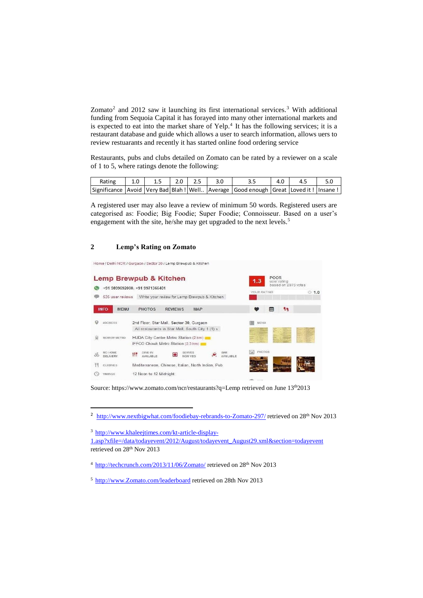Zomato<sup>2</sup> and 2012 saw it launching its first international services.<sup>3</sup> With additional funding from Sequoia Capital it has forayed into many other international markets and is expected to eat into the market share of Yelp.<sup>4</sup> It has the following services; it is a restaurant database and guide which allows a user to search information, allows uers to review restuarants and recently it has started online food ordering service

Restaurants, pubs and clubs detailed on Zomato can be rated by a reviewer on a scale of 1 to 5, where ratings denote the following:

| Rating | 1.5 | $2.0$ 2.5 |                                                                                                      | 4.0 | 4.5 |  |
|--------|-----|-----------|------------------------------------------------------------------------------------------------------|-----|-----|--|
|        |     |           | Significance   Avoid   Very Bad   Blah!   Well   Average   Good enough   Great   Loved it!   Insane! |     |     |  |

A registered user may also leave a review of minimum 50 words. Registered users are categorised as: Foodie; Big Foodie; Super Foodie; Connoisseur. Based on a user's engagement with the site, he/she may get upgraded to the next levels.<sup>5</sup>

## **2 Lemp's Rating on Zomato**

|    |                            | <b>Lemp Brewpub &amp; Kitchen</b>                                                  | <b>POOR</b><br>1.3<br>user rating<br>based on 2975 votes |             |
|----|----------------------------|------------------------------------------------------------------------------------|----------------------------------------------------------|-------------|
|    |                            | +91 9899692000, +91 9971366401                                                     | YOUR RATING                                              | <b>31.0</b> |
|    | 535 user reviews           | Write your review for Lemp Brewpub & Kitchen                                       |                                                          |             |
|    | <b>INFO</b><br><b>MENU</b> | <b>PHOTOS</b><br><b>REVIEWS</b><br><b>MAP</b>                                      | 6õ<br>目                                                  |             |
|    | <b>ADDRESS</b>             | 2nd Floor, Star Mall, Sector 30, Gurgaon                                           | MENU                                                     |             |
|    |                            | All restaurants in Star Mall, South City 1 (1) »                                   |                                                          |             |
|    | NEARBY METRO               | HUDA City Centre Metro Station (2 km)                                              |                                                          |             |
|    |                            | IFFCO Chowk Metro Station (2.3 km)                                                 |                                                          |             |
| ðé | NO HOME<br>DELIVERY        | DINE-IN<br><b>SERVES</b><br>BAR<br><b>AVAILABLE</b><br><b>AVAILABLE</b><br>NON VEG | <b>PHOTOS</b><br>SA                                      |             |
|    |                            |                                                                                    |                                                          |             |
|    | <b>CUISINES</b>            | Mediterranean, Chinese, Italian, North Indian, Pub.                                |                                                          |             |

Source: https://www.zomato.com/ncr/restaurants?q=Lemp retrieved on June 13th2013

<sup>2</sup> [http://www.nextbigwhat.com/foodiebay-rebrands-to-Zomato-297/](http://www.nextbigwhat.com/foodiebay-rebrands-to-zomato-297/) retrieved on 28<sup>th</sup> Nov 2013

<sup>3</sup> [http://www.khaleejtimes.com/kt-article-display-](http://www.khaleejtimes.com/kt-article-display-1.asp?xfile=/data/todayevent/2012/August/todayevent_August29.xml§ion=todayevent)

**.** 

[1.asp?xfile=/data/todayevent/2012/August/todayevent\\_August29.xml&section=todayevent](http://www.khaleejtimes.com/kt-article-display-1.asp?xfile=/data/todayevent/2012/August/todayevent_August29.xml§ion=todayevent) retrieved on 28th Nov 2013

<sup>4</sup> [http://techcrunch.com/2013/11/06/Zomato/](http://techcrunch.com/2013/11/06/zomato/) retrieved on 28th Nov 2013

<sup>5</sup> [http://www.Zomato.com/leaderboard](http://www.zomato.com/leaderboard) retrieved on 28th Nov 2013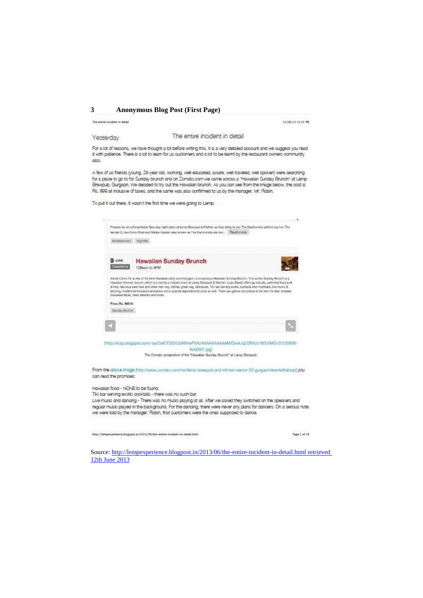|           | The entire incident in detail     | 11/06/11 11:11 PM                                                                                                                                                                                                                                                                                                                                                                                                                                                                                                                                                                                                   |
|-----------|-----------------------------------|---------------------------------------------------------------------------------------------------------------------------------------------------------------------------------------------------------------------------------------------------------------------------------------------------------------------------------------------------------------------------------------------------------------------------------------------------------------------------------------------------------------------------------------------------------------------------------------------------------------------|
| Yesterday |                                   | The entire incident in detail                                                                                                                                                                                                                                                                                                                                                                                                                                                                                                                                                                                       |
| also.     |                                   | For a lot of reasons, we have thought a lot before writing this. It is a very detailed account and we suggest you read<br>It with patience. There is a lot to learn for us customers and a lot to be learnt by the restaurant owners community                                                                                                                                                                                                                                                                                                                                                                      |
|           |                                   | A few of us friends (young, 26-year old, working, well educated, aware, well traveled, well spoken) were searching<br>for a place to go to for Sunday brunch and on Zomato.com we came across a "Hawaiian Sunday Brunch" at Lemp<br>Brewpub, Gurgaon. We decided to try out the Hawaian brunch. As you can see from the image below, the cost is<br>Rs. 999 all inclusive of taxes, and the same was also confirmed to us by the manager, Mr. Robin.                                                                                                                                                                |
|           |                                   | To put it out there, it wasn't the first time we were going to Lemp.                                                                                                                                                                                                                                                                                                                                                                                                                                                                                                                                                |
|           |                                   | Prepare for an uniforgettable Saturday night party at Lemp Brewpub & Kitchen as they bring to you The Dectroverts performing line. The                                                                                                                                                                                                                                                                                                                                                                                                                                                                              |
|           |                                   | tensie DJ duo Nina Shah and Malka Hayden also known as The Electronists are two. Read more                                                                                                                                                                                                                                                                                                                                                                                                                                                                                                                          |
|           | Environment Nightitis             |                                                                                                                                                                                                                                                                                                                                                                                                                                                                                                                                                                                                                     |
|           | 9 JUNE<br>TOMORROW                | <b>Hawaiian Sunday Brunch</b><br>12Noon to 4PM                                                                                                                                                                                                                                                                                                                                                                                                                                                                                                                                                                      |
|           |                                   | Alehal Come for a cine of it's kind Hawalian party and incluga in a sumptuous Hawalian Bunday Bruneh. This exotic Bunday Brunch is a<br>Howaken themed, brunch which is a not be a missed event at Lemp Browpub & Hitchen, Luau Boast) offerings include; unlimited food and<br>drivins, fabulous sea food and other non-veg, slahes, great veg, delicacies, Thi bar serving exotic cocinalis and mocktalls, live music &<br>dancing, traditional Hawaiian antitiance and a special separate kids zone as well. There are games and prices to be wen for best crossed.<br>[Hawaiian ittyle], best dancers and more. |
|           | Price: Rs. 999 A1                 |                                                                                                                                                                                                                                                                                                                                                                                                                                                                                                                                                                                                                     |
|           | Sunday Branch                     |                                                                                                                                                                                                                                                                                                                                                                                                                                                                                                                                                                                                                     |
|           |                                   |                                                                                                                                                                                                                                                                                                                                                                                                                                                                                                                                                                                                                     |
|           |                                   | [http://4.bp.blogspot.com/-layOs4CF2t0/LibWhitwPXAI/AAAAAAAAAAMDjrwUq2QRX/s1600/IMG-20130608-                                                                                                                                                                                                                                                                                                                                                                                                                                                                                                                       |
|           |                                   | WA0001 Jpg3<br>The Zometo screenshot of the "Hawelien Sunday Brunch" at Lemp Brewpub                                                                                                                                                                                                                                                                                                                                                                                                                                                                                                                                |
|           |                                   |                                                                                                                                                                                                                                                                                                                                                                                                                                                                                                                                                                                                                     |
|           | can read the promises:            | From the above image (http://www.zomato.com/nor/lemp-brewpub-and-kitchen-sector-30-gurgaon/events#tabtop) you                                                                                                                                                                                                                                                                                                                                                                                                                                                                                                       |
|           | Hawaiian food - NONE to be found. |                                                                                                                                                                                                                                                                                                                                                                                                                                                                                                                                                                                                                     |
|           |                                   | Tiki bar serving exotic cocktails - there was no such bar.                                                                                                                                                                                                                                                                                                                                                                                                                                                                                                                                                          |
|           |                                   | Live music and dancing - There was no music playing at all. After we asked they switched on the speakers and                                                                                                                                                                                                                                                                                                                                                                                                                                                                                                        |

s and regular music played in the background. For the dancing, there were never any plans for dancers. On a serious note<br>we were told by the manager, Robin, that oustomers were the ones supposed to dance.

| http://lempexperience.blogspot.in/2011/06/the-entire-incident-in-detail.html |  |
|------------------------------------------------------------------------------|--|
|                                                                              |  |

Page 1 of 18

Source[: http://lempexperience.blogpost.in/2013/06/the-entire-incident-in-detail.html retrieved](http://lempexperience.blogpost.in/2013/06/the-entire-incident-in-detail.html%20retrieved%2012th%20June%202013)  [12th June 2013](http://lempexperience.blogpost.in/2013/06/the-entire-incident-in-detail.html%20retrieved%2012th%20June%202013)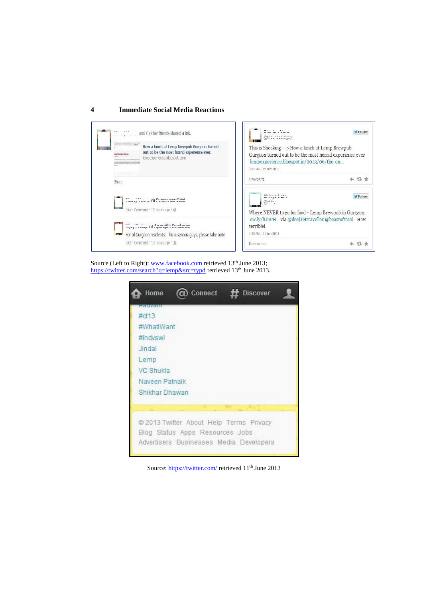#### **4 Immediate Social Media Reactions**



Source (Left to Right): [www.facebook.com](http://www.facebook.com/) retrieved 13<sup>th</sup> June 2013; <https://twitter.com/search?q=lemp&src=typd> retrieved 13<sup>th</sup> June 2013.



Source:<https://twitter.com/> retrieved 11<sup>th</sup> June 2013